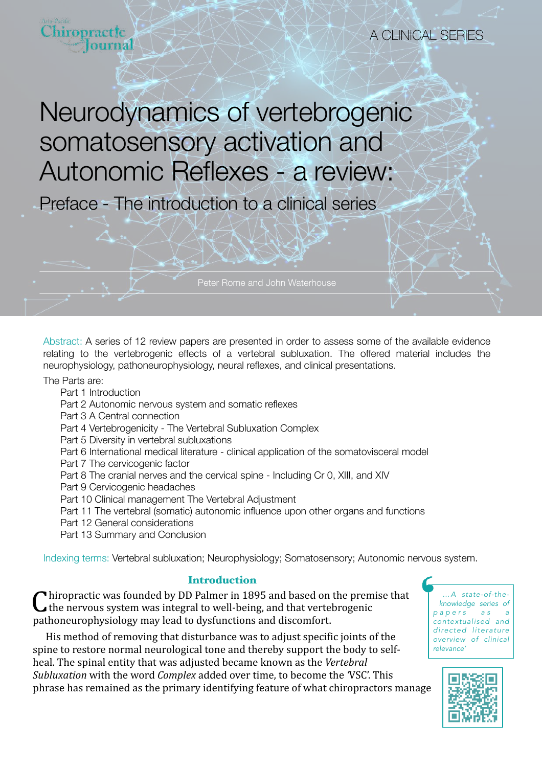

Preface - The introduction to a clinical series

Abstract: A series of 12 review papers are presented in order to assess some of the available evidence relating to the vertebrogenic effects of a vertebral subluxation. The offered material includes the

The Parts are:

- Part 1 Introduction
- Part 2 Autonomic nervous system and somatic reflexes
- Part 3 A Central connection
- Part 4 Vertebrogenicity The Vertebral Subluxation Complex
- Part 5 Diversity in vertebral subluxations
- Part 6 International medical literature clinical application of the somatovisceral model
- Part 7 The cervicogenic factor
- Part 8 The cranial nerves and the cervical spine Including Cr 0, XIII, and XIV

neurophysiology, pathoneurophysiology, neural reflexes, and clinical presentations.

- Part 9 Cervicogenic headaches
- Part 10 Clinical management The Vertebral Adjustment
- Part 11 The vertebral (somatic) autonomic influence upon other organs and functions
- Part 12 General considerations
- Part 13 Summary and Conclusion

Indexing terms: Vertebral subluxation; Neurophysiology; Somatosensory; Autonomic nervous system.

## Introduction

 $\mathbf C$  hiropractic was founded by DD Palmer in 1895 and based on the premise that the nervous system was integral to well-being, and that vertebrogenic pathoneurophysiology may lead to dysfunctions and discomfort.

His method of removing that disturbance was to adjust specific joints of the spine to restore normal neurological tone and thereby support the body to selfheal. The spinal entity that was adjusted became known as the Vertebral *Subluxation* with the word *Complex* added over time, to become the 'VSC'. This phrase has remained as the primary identifying feature of what chiropractors manage

*…A state-of-theknowledge series of p a p e r s a s a contextualised and directed literature overview of clinical relevance'*

A CLINICAL SERIES